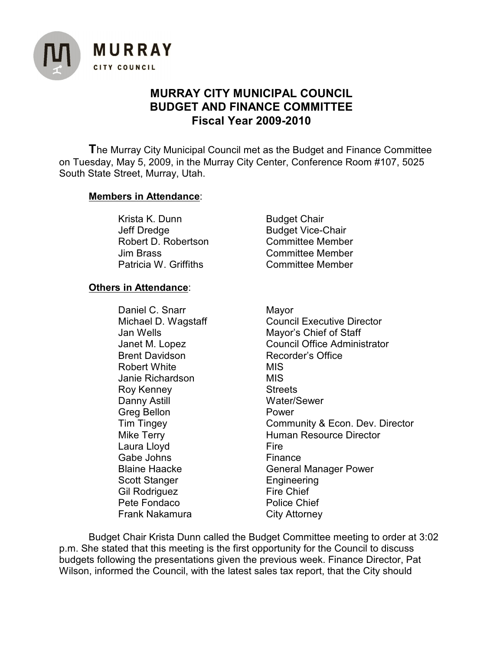

## **MURRAY CITY MUNICIPAL COUNCIL BUDGET AND FINANCE COMMITTEE Fiscal Year 2009-2010**

**T**he Murray City Municipal Council met as the Budget and Finance Committee on Tuesday, May 5, 2009, in the Murray City Center, Conference Room #107, 5025 South State Street, Murray, Utah.

## **Members in Attendance**:

Krista K. Dunn Budget Chair Jeff Dredge Budget Vice-Chair Robert D. Robertson Committee Member Jim Brass Committee Member Patricia W. Griffiths **Committee Member** 

## **Others in Attendance**:

Daniel C. Snarr Mayor Brent Davidson Recorder's Office Robert White **MIS** Janie Richardson MIS Roy Kenney **Streets** Danny Astill Water/Sewer Greg Bellon **Power** Laura Lloyd **Fire** Gabe Johns **Finance** Scott Stanger Engineering Gil Rodriguez Fire Chief Pete Fondaco Police Chief Frank Nakamura City Attorney

Michael D. Wagstaff Council Executive Director Jan Wells Mayor's Chief of Staff Janet M. Lopez Council Office Administrator Tim Tingey Community & Econ. Dev. Director Mike Terry **Human Resource Director** Blaine Haacke General Manager Power

Budget Chair Krista Dunn called the Budget Committee meeting to order at 3:02 p.m. She stated that this meeting is the first opportunity for the Council to discuss budgets following the presentations given the previous week. Finance Director, Pat Wilson, informed the Council, with the latest sales tax report, that the City should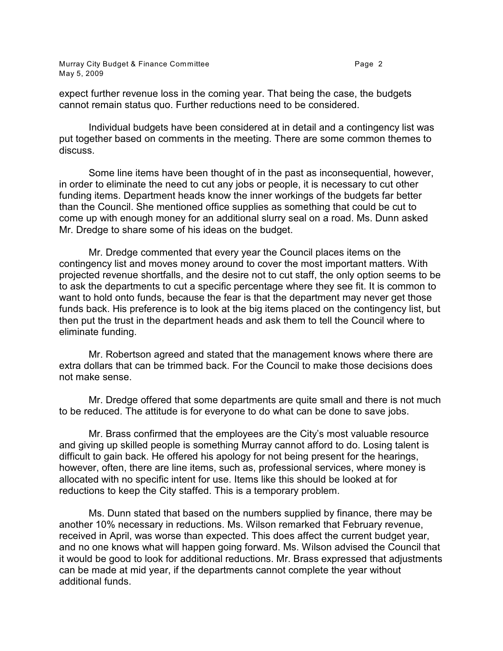Murray City Budget & Finance Committee **Page 2 Page 2** May 5, 2009

expect further revenue loss in the coming year. That being the case, the budgets cannot remain status quo. Further reductions need to be considered.

Individual budgets have been considered at in detail and a contingency list was put together based on comments in the meeting. There are some common themes to discuss.

Some line items have been thought of in the past as inconsequential, however, in order to eliminate the need to cut any jobs or people, it is necessary to cut other funding items. Department heads know the inner workings of the budgets far better than the Council. She mentioned office supplies as something that could be cut to come up with enough money for an additional slurry seal on a road. Ms. Dunn asked Mr. Dredge to share some of his ideas on the budget.

Mr. Dredge commented that every year the Council places items on the contingency list and moves money around to cover the most important matters. With projected revenue shortfalls, and the desire not to cut staff, the only option seems to be to ask the departments to cut a specific percentage where they see fit. It is common to want to hold onto funds, because the fear is that the department may never get those funds back. His preference is to look at the big items placed on the contingency list, but then put the trust in the department heads and ask them to tell the Council where to eliminate funding.

Mr. Robertson agreed and stated that the management knows where there are extra dollars that can be trimmed back. For the Council to make those decisions does not make sense.

Mr. Dredge offered that some departments are quite small and there is not much to be reduced. The attitude is for everyone to do what can be done to save jobs.

Mr. Brass confirmed that the employees are the City's most valuable resource and giving up skilled people is something Murray cannot afford to do. Losing talent is difficult to gain back. He offered his apology for not being present for the hearings, however, often, there are line items, such as, professional services, where money is allocated with no specific intent for use. Items like this should be looked at for reductions to keep the City staffed. This is a temporary problem.

Ms. Dunn stated that based on the numbers supplied by finance, there may be another 10% necessary in reductions. Ms. Wilson remarked that February revenue, received in April, was worse than expected. This does affect the current budget year, and no one knows what will happen going forward. Ms. Wilson advised the Council that it would be good to look for additional reductions. Mr. Brass expressed that adjustments can be made at mid year, if the departments cannot complete the year without additional funds.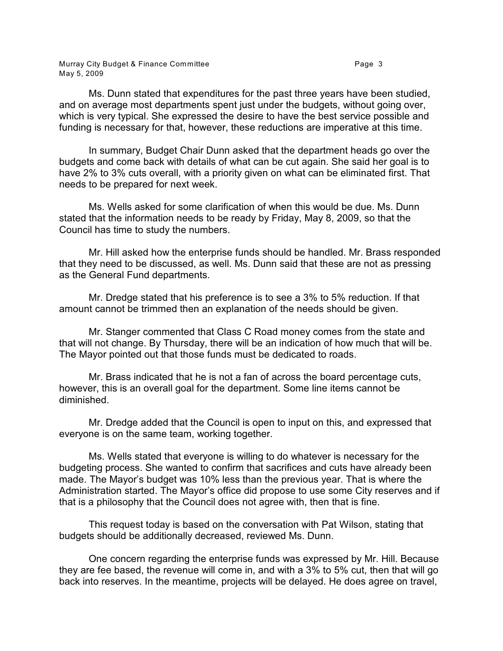Murray City Budget & Finance Committee **Page 3** Page 3 May 5, 2009

Ms. Dunn stated that expenditures for the past three years have been studied, and on average most departments spent just under the budgets, without going over, which is very typical. She expressed the desire to have the best service possible and funding is necessary for that, however, these reductions are imperative at this time.

In summary, Budget Chair Dunn asked that the department heads go over the budgets and come back with details of what can be cut again. She said her goal is to have 2% to 3% cuts overall, with a priority given on what can be eliminated first. That needs to be prepared for next week.

Ms. Wells asked for some clarification of when this would be due. Ms. Dunn stated that the information needs to be ready by Friday, May 8, 2009, so that the Council has time to study the numbers.

Mr. Hill asked how the enterprise funds should be handled. Mr. Brass responded that they need to be discussed, as well. Ms. Dunn said that these are not as pressing as the General Fund departments.

Mr. Dredge stated that his preference is to see a 3% to 5% reduction. If that amount cannot be trimmed then an explanation of the needs should be given.

Mr. Stanger commented that Class C Road money comes from the state and that will not change. By Thursday, there will be an indication of how much that will be. The Mayor pointed out that those funds must be dedicated to roads.

Mr. Brass indicated that he is not a fan of across the board percentage cuts, however, this is an overall goal for the department. Some line items cannot be diminished.

Mr. Dredge added that the Council is open to input on this, and expressed that everyone is on the same team, working together.

Ms. Wells stated that everyone is willing to do whatever is necessary for the budgeting process. She wanted to confirm that sacrifices and cuts have already been made. The Mayor's budget was 10% less than the previous year. That is where the Administration started. The Mayor's office did propose to use some City reserves and if that is a philosophy that the Council does not agree with, then that is fine.

This request today is based on the conversation with Pat Wilson, stating that budgets should be additionally decreased, reviewed Ms. Dunn.

One concern regarding the enterprise funds was expressed by Mr. Hill. Because they are fee based, the revenue will come in, and with a 3% to 5% cut, then that will go back into reserves. In the meantime, projects will be delayed. He does agree on travel,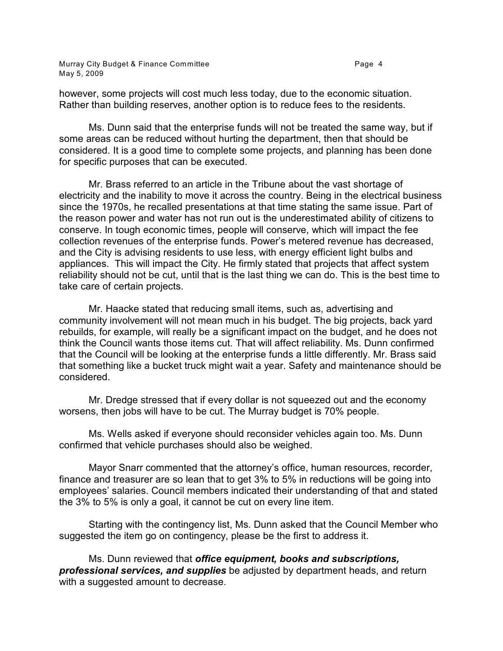Murray City Budget & Finance Committee **Page 4** Page 4 May 5, 2009

however, some projects will cost much less today, due to the economic situation. Rather than building reserves, another option is to reduce fees to the residents.

Ms. Dunn said that the enterprise funds will not be treated the same way, but if some areas can be reduced without hurting the department, then that should be considered. It is a good time to complete some projects, and planning has been done for specific purposes that can be executed.

Mr. Brass referred to an article in the Tribune about the vast shortage of electricity and the inability to move it across the country. Being in the electrical business since the 1970s, he recalled presentations at that time stating the same issue. Part of the reason power and water has not run out is the underestimated ability of citizens to conserve. In tough economic times, people will conserve, which will impact the fee collection revenues of the enterprise funds. Power's metered revenue has decreased, and the City is advising residents to use less, with energy efficient light bulbs and appliances. This will impact the City. He firmly stated that projects that affect system reliability should not be cut, until that is the last thing we can do. This is the best time to take care of certain projects.

Mr. Haacke stated that reducing small items, such as, advertising and community involvement will not mean much in his budget. The big projects, back yard rebuilds, for example, will really be a significant impact on the budget, and he does not think the Council wants those items cut. That will affect reliability. Ms. Dunn confirmed that the Council will be looking at the enterprise funds a little differently. Mr. Brass said that something like a bucket truck might wait a year. Safety and maintenance should be considered.

Mr. Dredge stressed that if every dollar is not squeezed out and the economy worsens, then jobs will have to be cut. The Murray budget is 70% people.

Ms. Wells asked if everyone should reconsider vehicles again too. Ms. Dunn confirmed that vehicle purchases should also be weighed.

Mayor Snarr commented that the attorney's office, human resources, recorder, finance and treasurer are so lean that to get 3% to 5% in reductions will be going into employees' salaries. Council members indicated their understanding of that and stated the 3% to 5% is only a goal, it cannot be cut on every line item.

Starting with the contingency list, Ms. Dunn asked that the Council Member who suggested the item go on contingency, please be the first to address it.

Ms. Dunn reviewed that *office equipment, books and subscriptions, professional services, and supplies* be adjusted by department heads, and return with a suggested amount to decrease.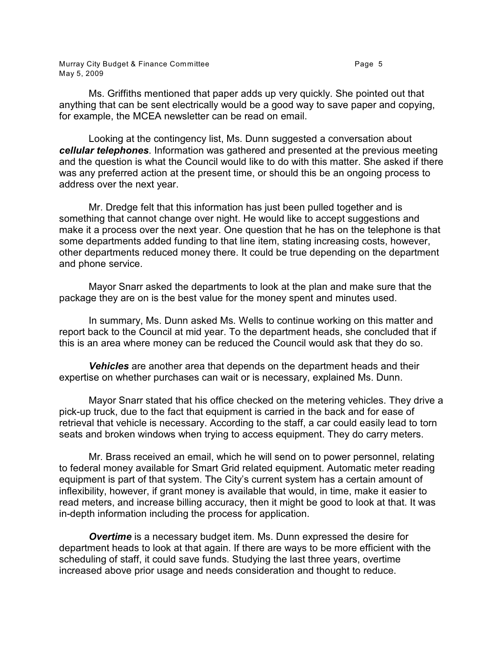Murray City Budget & Finance Committee **Page 1** Page 5 May 5, 2009

Ms. Griffiths mentioned that paper adds up very quickly. She pointed out that anything that can be sent electrically would be a good way to save paper and copying, for example, the MCEA newsletter can be read on email.

Looking at the contingency list, Ms. Dunn suggested a conversation about *cellular telephones*. Information was gathered and presented at the previous meeting and the question is what the Council would like to do with this matter. She asked if there was any preferred action at the present time, or should this be an ongoing process to address over the next year.

Mr. Dredge felt that this information has just been pulled together and is something that cannot change over night. He would like to accept suggestions and make it a process over the next year. One question that he has on the telephone is that some departments added funding to that line item, stating increasing costs, however, other departments reduced money there. It could be true depending on the department and phone service.

Mayor Snarr asked the departments to look at the plan and make sure that the package they are on is the best value for the money spent and minutes used.

In summary, Ms. Dunn asked Ms. Wells to continue working on this matter and report back to the Council at mid year. To the department heads, she concluded that if this is an area where money can be reduced the Council would ask that they do so.

*Vehicles* are another area that depends on the department heads and their expertise on whether purchases can wait or is necessary, explained Ms. Dunn.

Mayor Snarr stated that his office checked on the metering vehicles. They drive a pick-up truck, due to the fact that equipment is carried in the back and for ease of retrieval that vehicle is necessary. According to the staff, a car could easily lead to torn seats and broken windows when trying to access equipment. They do carry meters.

Mr. Brass received an email, which he will send on to power personnel, relating to federal money available for Smart Grid related equipment. Automatic meter reading equipment is part of that system. The City's current system has a certain amount of inflexibility, however, if grant money is available that would, in time, make it easier to read meters, and increase billing accuracy, then it might be good to look at that. It was in-depth information including the process for application.

**Overtime** is a necessary budget item. Ms. Dunn expressed the desire for department heads to look at that again. If there are ways to be more efficient with the scheduling of staff, it could save funds. Studying the last three years, overtime increased above prior usage and needs consideration and thought to reduce.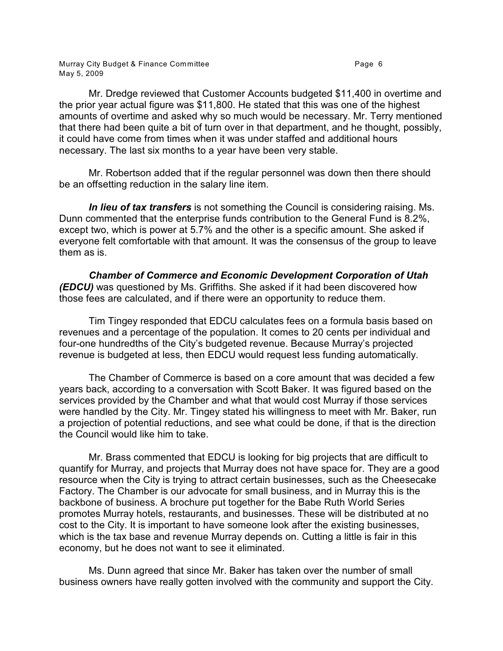Murray City Budget & Finance Committee **Page 1** 2012 1 2014 1 2019 1 2019 1 2019 1 2019 1 2019 1 2019 1 2019 1 20 May 5, 2009

Mr. Dredge reviewed that Customer Accounts budgeted \$11,400 in overtime and the prior year actual figure was \$11,800. He stated that this was one of the highest amounts of overtime and asked why so much would be necessary. Mr. Terry mentioned that there had been quite a bit of turn over in that department, and he thought, possibly, it could have come from times when it was under staffed and additional hours necessary. The last six months to a year have been very stable.

Mr. Robertson added that if the regular personnel was down then there should be an offsetting reduction in the salary line item.

*In lieu of tax transfers* is not something the Council is considering raising. Ms. Dunn commented that the enterprise funds contribution to the General Fund is 8.2%, except two, which is power at 5.7% and the other is a specific amount. She asked if everyone felt comfortable with that amount. It was the consensus of the group to leave them as is.

*Chamber of Commerce and Economic Development Corporation of Utah (EDCU)* was questioned by Ms. Griffiths. She asked if it had been discovered how those fees are calculated, and if there were an opportunity to reduce them.

Tim Tingey responded that EDCU calculates fees on a formula basis based on revenues and a percentage of the population. It comes to 20 cents per individual and four-one hundredths of the City's budgeted revenue. Because Murray's projected revenue is budgeted at less, then EDCU would request less funding automatically.

The Chamber of Commerce is based on a core amount that was decided a few years back, according to a conversation with Scott Baker. It was figured based on the services provided by the Chamber and what that would cost Murray if those services were handled by the City. Mr. Tingey stated his willingness to meet with Mr. Baker, run a projection of potential reductions, and see what could be done, if that is the direction the Council would like him to take.

Mr. Brass commented that EDCU is looking for big projects that are difficult to quantify for Murray, and projects that Murray does not have space for. They are a good resource when the City is trying to attract certain businesses, such as the Cheesecake Factory. The Chamber is our advocate for small business, and in Murray this is the backbone of business. A brochure put together for the Babe Ruth World Series promotes Murray hotels, restaurants, and businesses. These will be distributed at no cost to the City. It is important to have someone look after the existing businesses, which is the tax base and revenue Murray depends on. Cutting a little is fair in this economy, but he does not want to see it eliminated.

Ms. Dunn agreed that since Mr. Baker has taken over the number of small business owners have really gotten involved with the community and support the City.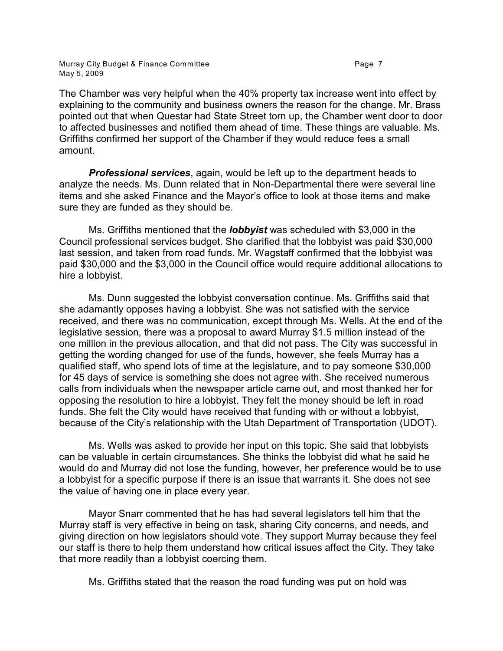Murray City Budget & Finance Committee **Page 7** and the Page 7 May 5, 2009

The Chamber was very helpful when the 40% property tax increase went into effect by explaining to the community and business owners the reason for the change. Mr. Brass pointed out that when Questar had State Street torn up, the Chamber went door to door to affected businesses and notified them ahead of time. These things are valuable. Ms. Griffiths confirmed her support of the Chamber if they would reduce fees a small amount.

*Professional services*, again, would be left up to the department heads to analyze the needs. Ms. Dunn related that in Non-Departmental there were several line items and she asked Finance and the Mayor's office to look at those items and make sure they are funded as they should be.

Ms. Griffiths mentioned that the *lobbyist* was scheduled with \$3,000 in the Council professional services budget. She clarified that the lobbyist was paid \$30,000 last session, and taken from road funds. Mr. Wagstaff confirmed that the lobbyist was paid \$30,000 and the \$3,000 in the Council office would require additional allocations to hire a lobbyist.

Ms. Dunn suggested the lobbyist conversation continue. Ms. Griffiths said that she adamantly opposes having a lobbyist. She was not satisfied with the service received, and there was no communication, except through Ms. Wells. At the end of the legislative session, there was a proposal to award Murray \$1.5 million instead of the one million in the previous allocation, and that did not pass. The City was successful in getting the wording changed for use of the funds, however, she feels Murray has a qualified staff, who spend lots of time at the legislature, and to pay someone \$30,000 for 45 days of service is something she does not agree with. She received numerous calls from individuals when the newspaper article came out, and most thanked her for opposing the resolution to hire a lobbyist. They felt the money should be left in road funds. She felt the City would have received that funding with or without a lobbyist, because of the City's relationship with the Utah Department of Transportation (UDOT).

Ms. Wells was asked to provide her input on this topic. She said that lobbyists can be valuable in certain circumstances. She thinks the lobbyist did what he said he would do and Murray did not lose the funding, however, her preference would be to use a lobbyist for a specific purpose if there is an issue that warrants it. She does not see the value of having one in place every year.

Mayor Snarr commented that he has had several legislators tell him that the Murray staff is very effective in being on task, sharing City concerns, and needs, and giving direction on how legislators should vote. They support Murray because they feel our staff is there to help them understand how critical issues affect the City. They take that more readily than a lobbyist coercing them.

Ms. Griffiths stated that the reason the road funding was put on hold was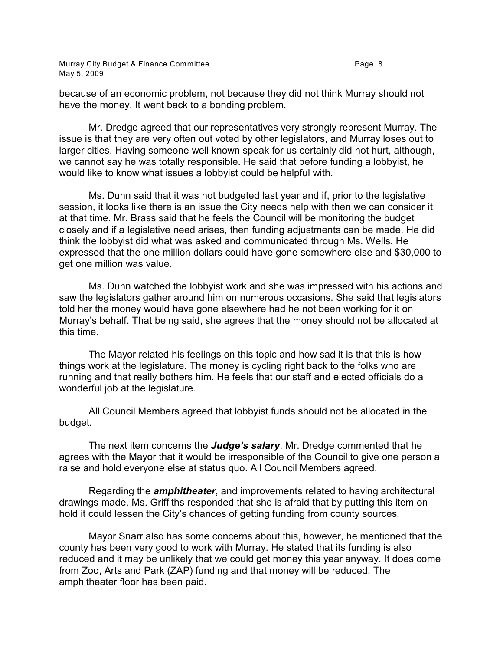Murray City Budget & Finance Committee **Page 1** 2012 1 2014 1 2019 1 2019 1 2019 1 2019 1 2019 1 2019 1 2019 1 20 May 5, 2009

because of an economic problem, not because they did not think Murray should not have the money. It went back to a bonding problem.

Mr. Dredge agreed that our representatives very strongly represent Murray. The issue is that they are very often out voted by other legislators, and Murray loses out to larger cities. Having someone well known speak for us certainly did not hurt, although, we cannot say he was totally responsible. He said that before funding a lobbyist, he would like to know what issues a lobbyist could be helpful with.

Ms. Dunn said that it was not budgeted last year and if, prior to the legislative session, it looks like there is an issue the City needs help with then we can consider it at that time. Mr. Brass said that he feels the Council will be monitoring the budget closely and if a legislative need arises, then funding adjustments can be made. He did think the lobbyist did what was asked and communicated through Ms. Wells. He expressed that the one million dollars could have gone somewhere else and \$30,000 to get one million was value.

Ms. Dunn watched the lobbyist work and she was impressed with his actions and saw the legislators gather around him on numerous occasions. She said that legislators told her the money would have gone elsewhere had he not been working for it on Murray's behalf. That being said, she agrees that the money should not be allocated at this time.

The Mayor related his feelings on this topic and how sad it is that this is how things work at the legislature. The money is cycling right back to the folks who are running and that really bothers him. He feels that our staff and elected officials do a wonderful job at the legislature.

All Council Members agreed that lobbyist funds should not be allocated in the budget.

The next item concerns the *Judge's salary*. Mr. Dredge commented that he agrees with the Mayor that it would be irresponsible of the Council to give one person a raise and hold everyone else at status quo. All Council Members agreed.

Regarding the *amphitheater*, and improvements related to having architectural drawings made, Ms. Griffiths responded that she is afraid that by putting this item on hold it could lessen the City's chances of getting funding from county sources.

Mayor Snarr also has some concerns about this, however, he mentioned that the county has been very good to work with Murray. He stated that its funding is also reduced and it may be unlikely that we could get money this year anyway. It does come from Zoo, Arts and Park (ZAP) funding and that money will be reduced. The amphitheater floor has been paid.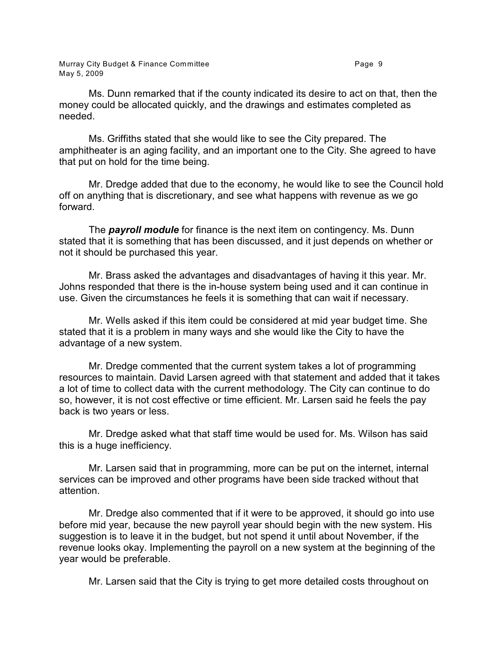Ms. Dunn remarked that if the county indicated its desire to act on that, then the money could be allocated quickly, and the drawings and estimates completed as needed.

Ms. Griffiths stated that she would like to see the City prepared. The amphitheater is an aging facility, and an important one to the City. She agreed to have that put on hold for the time being.

Mr. Dredge added that due to the economy, he would like to see the Council hold off on anything that is discretionary, and see what happens with revenue as we go forward.

The *payroll module* for finance is the next item on contingency. Ms. Dunn stated that it is something that has been discussed, and it just depends on whether or not it should be purchased this year.

Mr. Brass asked the advantages and disadvantages of having it this year. Mr. Johns responded that there is the in-house system being used and it can continue in use. Given the circumstances he feels it is something that can wait if necessary.

Mr. Wells asked if this item could be considered at mid year budget time. She stated that it is a problem in many ways and she would like the City to have the advantage of a new system.

Mr. Dredge commented that the current system takes a lot of programming resources to maintain. David Larsen agreed with that statement and added that it takes a lot of time to collect data with the current methodology. The City can continue to do so, however, it is not cost effective or time efficient. Mr. Larsen said he feels the pay back is two years or less.

Mr. Dredge asked what that staff time would be used for. Ms. Wilson has said this is a huge inefficiency.

Mr. Larsen said that in programming, more can be put on the internet, internal services can be improved and other programs have been side tracked without that attention.

Mr. Dredge also commented that if it were to be approved, it should go into use before mid year, because the new payroll year should begin with the new system. His suggestion is to leave it in the budget, but not spend it until about November, if the revenue looks okay. Implementing the payroll on a new system at the beginning of the year would be preferable.

Mr. Larsen said that the City is trying to get more detailed costs throughout on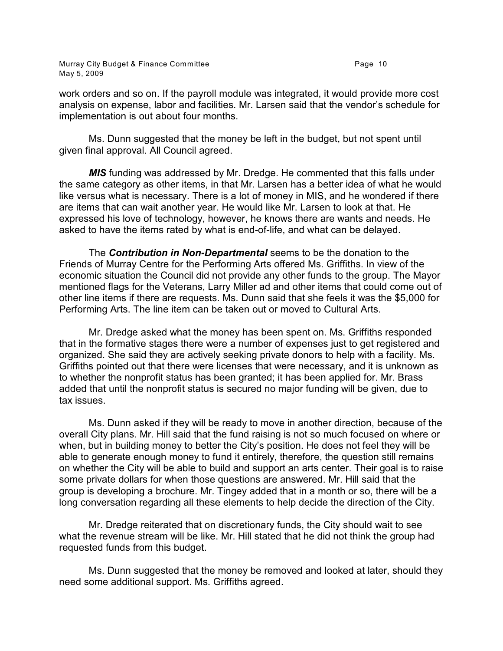work orders and so on. If the payroll module was integrated, it would provide more cost analysis on expense, labor and facilities. Mr. Larsen said that the vendor's schedule for implementation is out about four months.

Ms. Dunn suggested that the money be left in the budget, but not spent until given final approval. All Council agreed.

*MIS* funding was addressed by Mr. Dredge. He commented that this falls under the same category as other items, in that Mr. Larsen has a better idea of what he would like versus what is necessary. There is a lot of money in MIS, and he wondered if there are items that can wait another year. He would like Mr. Larsen to look at that. He expressed his love of technology, however, he knows there are wants and needs. He asked to have the items rated by what is end-of-life, and what can be delayed.

The *Contribution in Non-Departmental* seems to be the donation to the Friends of Murray Centre for the Performing Arts offered Ms. Griffiths. In view of the economic situation the Council did not provide any other funds to the group. The Mayor mentioned flags for the Veterans, Larry Miller ad and other items that could come out of other line items if there are requests. Ms. Dunn said that she feels it was the \$5,000 for Performing Arts. The line item can be taken out or moved to Cultural Arts.

Mr. Dredge asked what the money has been spent on. Ms. Griffiths responded that in the formative stages there were a number of expenses just to get registered and organized. She said they are actively seeking private donors to help with a facility. Ms. Griffiths pointed out that there were licenses that were necessary, and it is unknown as to whether the nonprofit status has been granted; it has been applied for. Mr. Brass added that until the nonprofit status is secured no major funding will be given, due to tax issues.

Ms. Dunn asked if they will be ready to move in another direction, because of the overall City plans. Mr. Hill said that the fund raising is not so much focused on where or when, but in building money to better the City's position. He does not feel they will be able to generate enough money to fund it entirely, therefore, the question still remains on whether the City will be able to build and support an arts center. Their goal is to raise some private dollars for when those questions are answered. Mr. Hill said that the group is developing a brochure. Mr. Tingey added that in a month or so, there will be a long conversation regarding all these elements to help decide the direction of the City.

Mr. Dredge reiterated that on discretionary funds, the City should wait to see what the revenue stream will be like. Mr. Hill stated that he did not think the group had requested funds from this budget.

Ms. Dunn suggested that the money be removed and looked at later, should they need some additional support. Ms. Griffiths agreed.